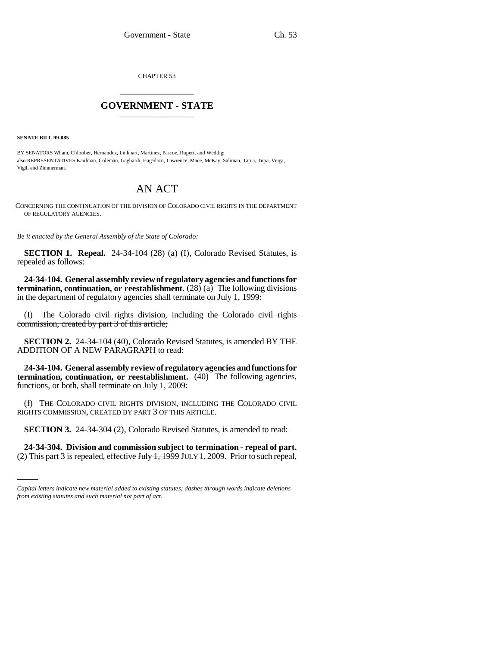CHAPTER 53 \_\_\_\_\_\_\_\_\_\_\_\_\_\_\_

## **GOVERNMENT - STATE** \_\_\_\_\_\_\_\_\_\_\_\_\_\_\_

**SENATE BILL 99-085**

BY SENATORS Wham, Chlouber, Hernandez, Linkhart, Martinez, Pascoe, Rupert, and Weddig; also REPRESENTATIVES Kaufman, Coleman, Gagliardi, Hagedorn, Lawrence, Mace, McKay, Saliman, Tapia, Tupa, Veiga, Vigil, and Zimmerman.

## AN ACT

CONCERNING THE CONTINUATION OF THE DIVISION OF COLORADO CIVIL RIGHTS IN THE DEPARTMENT OF REGULATORY AGENCIES.

*Be it enacted by the General Assembly of the State of Colorado:*

**SECTION 1. Repeal.** 24-34-104 (28) (a) (I), Colorado Revised Statutes, is repealed as follows:

**24-34-104. General assembly review of regulatory agencies and functions for termination, continuation, or reestablishment.** (28) (a) The following divisions in the department of regulatory agencies shall terminate on July 1, 1999:

(I) The Colorado civil rights division, including the Colorado civil rights commission, created by part 3 of this article;

**SECTION 2.** 24-34-104 (40), Colorado Revised Statutes, is amended BY THE ADDITION OF A NEW PARAGRAPH to read:

**24-34-104. General assembly review of regulatory agencies and functions for termination, continuation, or reestablishment.** (40) The following agencies, functions, or both, shall terminate on July 1, 2009:

(f) THE COLORADO CIVIL RIGHTS DIVISION, INCLUDING THE COLORADO CIVIL RIGHTS COMMISSION, CREATED BY PART 3 OF THIS ARTICLE.

**SECTION 3.** 24-34-304 (2), Colorado Revised Statutes, is amended to read:

**24-34-304. Division and commission subject to termination - repeal of part.** (2) This part 3 is repealed, effective  $J_{\text{t}}$   $J_{\text{t}}$  +  $J_{\text{t}}$  +  $J_{\text{t}}$  +  $J_{\text{t}}$  +  $J_{\text{t}}$  +  $J_{\text{t}}$  +  $J_{\text{t}}$  +  $J_{\text{t}}$  +  $J_{\text{t}}$  +  $J_{\text{t}}$  +  $J_{\text{t}}$  +  $J_{\text{t}}$  +  $J_{\text{t}}$  +  $J_{\text{t}}$  +  $J_{\$ 

*Capital letters indicate new material added to existing statutes; dashes through words indicate deletions from existing statutes and such material not part of act.*